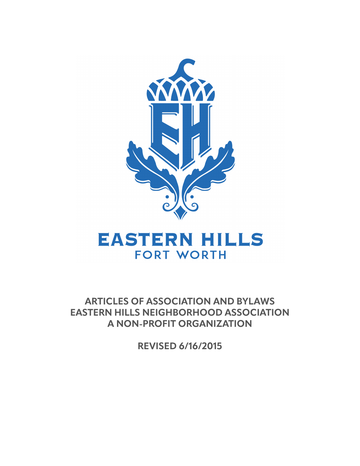

# **EASTERN HILLS FORT WORTH**

**ARTICLES OF ASSOCIATION AND BYLAWS EASTERN HILLS NEIGHBORHOOD ASSOCIATION A NON-PROFIT ORGANIZATION**

**REVISED 6/16/2015**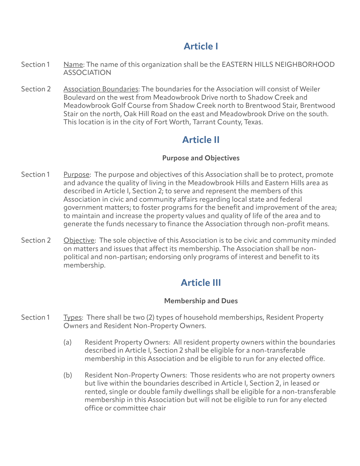## **Article I**

- Section 1 Name: The name of this organization shall be the EASTERN HILLS NEIGHBORHOOD ASSOCIATION
- Section 2 Association Boundaries: The boundaries for the Association will consist of Weiler Boulevard on the west from Meadowbrook Drive north to Shadow Creek and Meadowbrook Golf Course from Shadow Creek north to Brentwood Stair, Brentwood Stair on the north, Oak Hill Road on the east and Meadowbrook Drive on the south. This location is in the city of Fort Worth, Tarrant County, Texas.

### **Article II**

#### **Purpose and Objectives**

- Section 1 Purpose: The purpose and objectives of this Association shall be to protect, promote and advance the quality of living in the Meadowbrook Hills and Eastern Hills area as described in Article I, Section 2; to serve and represent the members of this Association in civic and community affairs regarding local state and federal government matters; to foster programs for the benefit and improvement of the area; to maintain and increase the property values and quality of life of the area and to generate the funds necessary to finance the Association through non-profit means.
- Section 2 Objective: The sole objective of this Association is to be civic and community minded on matters and issues that affect its membership. The Association shall be nonpolitical and non-partisan; endorsing only programs of interest and benefit to its membership.

## **Article III**

#### **Membership and Dues**

- Section 1 Types: There shall be two (2) types of household memberships, Resident Property Owners and Resident Non-Property Owners.
	- (a) Resident Property Owners: All resident property owners within the boundaries described in Article I, Section 2 shall be eligible for a non-transferable membership in this Association and be eligible to run for any elected office.
	- (b) Resident Non-Property Owners: Those residents who are not property owners but live within the boundaries described in Article I, Section 2, in leased or rented, single or double family dwellings shall be eligible for a non-transferable membership in this Association but will not be eligible to run for any elected office or committee chair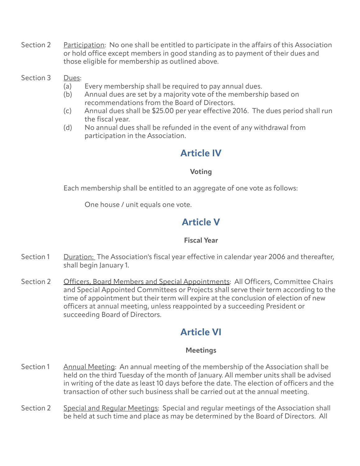- Section 2 Participation: No one shall be entitled to participate in the affairs of this Association or hold office except members in good standing as to payment of their dues and those eligible for membership as outlined above.
- Section 3 Dues:
	- (a) Every membership shall be required to pay annual dues.
	- (b) Annual dues are set by a majority vote of the membership based on recommendations from the Board of Directors.
	- (c) Annual dues shall be \$25.00 per year effective 2016. The dues period shall run the fiscal year.
	- (d) No annual dues shall be refunded in the event of any withdrawal from participation in the Association.

### **Article IV**

#### **Voting**

Each membership shall be entitled to an aggregate of one vote as follows:

One house / unit equals one vote.

### **Article V**

#### **Fiscal Year**

- Section 1 Duration: The Association's fiscal year effective in calendar year 2006 and thereafter, shall begin January 1.
- Section 2 Officers, Board Members and Special Appointments: All Officers, Committee Chairs and Special Appointed Committees or Projects shall serve their term according to the time of appointment but their term will expire at the conclusion of election of new officers at annual meeting, unless reappointed by a succeeding President or succeeding Board of Directors.

### **Article VI**

#### **Meetings**

- Section 1 Annual Meeting: An annual meeting of the membership of the Association shall be held on the third Tuesday of the month of January. All member units shall be advised in writing of the date as least 10 days before the date. The election of officers and the transaction of other such business shall be carried out at the annual meeting.
- Section 2 Special and Regular Meetings: Special and regular meetings of the Association shall be held at such time and place as may be determined by the Board of Directors. All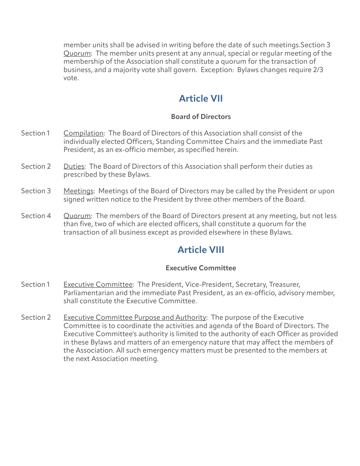member units shall be advised in writing before the date of such meetings.Section 3 Quorum: The member units present at any annual, special or regular meeting of the membership of the Association shall constitute a quorum for the transaction of business, and a majority vote shall govern. Exception: Bylaws changes require 2/3 vote.

### **Article VII**

#### **Board of Directors**

- Section 1 Compilation: The Board of Directors of this Association shall consist of the individually elected Officers, Standing Committee Chairs and the immediate Past President, as an ex-officio member, as specified herein.
- Section 2 Duties: The Board of Directors of this Association shall perform their duties as prescribed by these Bylaws.
- Section 3 Meetings: Meetings of the Board of Directors may be called by the President or upon signed written notice to the President by three other members of the Board.
- Section 4 Quorum: The members of the Board of Directors present at any meeting, but not less than five, two of which are elected officers, shall constitute a quorum for the transaction of all business except as provided elsewhere in these Bylaws.

### **Article VIII**

#### **Executive Committee**

- Section 1 Executive Committee: The President, Vice-President, Secretary, Treasurer, Parliamentarian and the immediate Past President, as an ex-officio, advisory member, shall constitute the Executive Committee.
- Section 2 Executive Committee Purpose and Authority: The purpose of the Executive Committee is to coordinate the activities and agenda of the Board of Directors. The Executive Committee's authority is limited to the authority of each Officer as provided in these Bylaws and matters of an emergency nature that may affect the members of the Association. All such emergency matters must be presented to the members at the next Association meeting.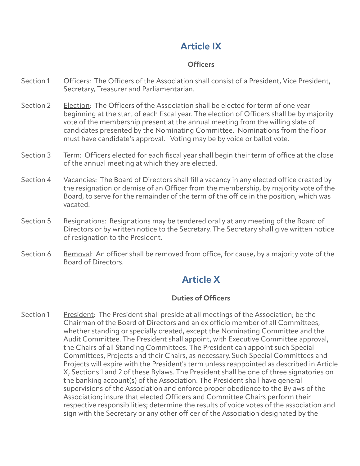# **Article IX**

#### **Officers**

- Section 1 Officers: The Officers of the Association shall consist of a President, Vice President, Secretary, Treasurer and Parliamentarian.
- Section 2 Election: The Officers of the Association shall be elected for term of one year beginning at the start of each fiscal year. The election of Officers shall be by majority vote of the membership present at the annual meeting from the willing slate of candidates presented by the Nominating Committee. Nominations from the floor must have candidate's approval. Voting may be by voice or ballot vote.
- Section 3 Term: Officers elected for each fiscal year shall begin their term of office at the close of the annual meeting at which they are elected.
- Section 4 Yacancies: The Board of Directors shall fill a vacancy in any elected office created by the resignation or demise of an Officer from the membership, by majority vote of the Board, to serve for the remainder of the term of the office in the position, which was vacated.
- Section 5 Resignations: Resignations may be tendered orally at any meeting of the Board of Directors or by written notice to the Secretary. The Secretary shall give written notice of resignation to the President.
- Section 6 Removal: An officer shall be removed from office, for cause, by a majority vote of the Board of Directors.

### **Article X**

#### **Duties of Officers**

Section 1 President: The President shall preside at all meetings of the Association; be the Chairman of the Board of Directors and an ex officio member of all Committees, whether standing or specially created, except the Nominating Committee and the Audit Committee. The President shall appoint, with Executive Committee approval, the Chairs of all Standing Committees. The President can appoint such Special Committees, Projects and their Chairs, as necessary. Such Special Committees and Projects will expire with the President's term unless reappointed as described in Article X, Sections 1 and 2 of these Bylaws. The President shall be one of three signatories on the banking account(s) of the Association. The President shall have general supervisions of the Association and enforce proper obedience to the Bylaws of the Association; insure that elected Officers and Committee Chairs perform their respective responsibilities; determine the results of voice votes of the association and sign with the Secretary or any other officer of the Association designated by the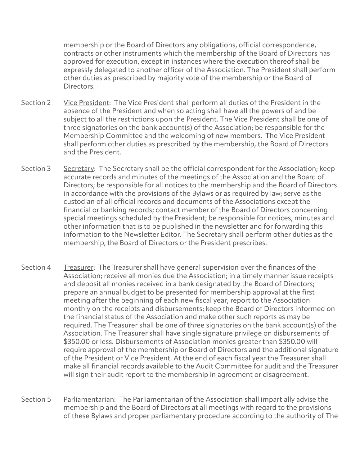membership or the Board of Directors any obligations, official correspondence, contracts or other instruments which the membership of the Board of Directors has approved for execution, except in instances where the execution thereof shall be expressly delegated to another officer of the Association. The President shall perform other duties as prescribed by majority vote of the membership or the Board of Directors.

- Section 2 Vice President: The Vice President shall perform all duties of the President in the absence of the President and when so acting shall have all the powers of and be subject to all the restrictions upon the President. The Vice President shall be one of three signatories on the bank account(s) of the Association; be responsible for the Membership Committee and the welcoming of new members. The Vice President shall perform other duties as prescribed by the membership, the Board of Directors and the President.
- Section 3 Secretary: The Secretary shall be the official correspondent for the Association; keep accurate records and minutes of the meetings of the Association and the Board of Directors; be responsible for all notices to the membership and the Board of Directors in accordance with the provisions of the Bylaws or as required by law; serve as the custodian of all official records and documents of the Associations except the financial or banking records; contact member of the Board of Directors concerning special meetings scheduled by the President; be responsible for notices, minutes and other information that is to be published in the newsletter and for forwarding this information to the Newsletter Editor. The Secretary shall perform other duties as the membership, the Board of Directors or the President prescribes.
- Section 4 Treasurer: The Treasurer shall have general supervision over the finances of the Association; receive all monies due the Association; in a timely manner issue receipts and deposit all monies received in a bank designated by the Board of Directors; prepare an annual budget to be presented for membership approval at the first meeting after the beginning of each new fiscal year; report to the Association monthly on the receipts and disbursements; keep the Board of Directors informed on the financial status of the Association and make other such reports as may be required. The Treasurer shall be one of three signatories on the bank account(s) of the Association. The Treasurer shall have single signature privilege on disbursements of \$350.00 or less. Disbursements of Association monies greater than \$350.00 will require approval of the membership or Board of Directors and the additional signature of the President or Vice President. At the end of each fiscal year the Treasurer shall make all financial records available to the Audit Committee for audit and the Treasurer will sign their audit report to the membership in agreement or disagreement.
- Section 5 Parliamentarian: The Parliamentarian of the Association shall impartially advise the membership and the Board of Directors at all meetings with regard to the provisions of these Bylaws and proper parliamentary procedure according to the authority of The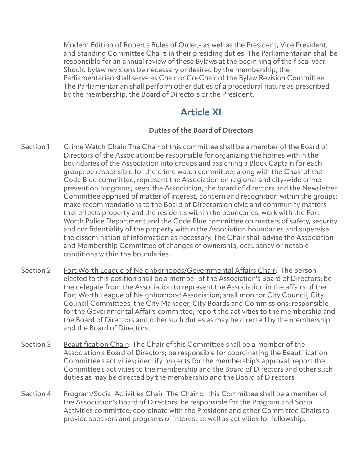Modern Edition of Robert's Rules of Order,- as well as the President, Vice President, and Standing Committee Chairs in their presiding duties. The Parliamentarian shall be responsible for an annual review of these Bylaws at the beginning of the fiscal year. Should bylaw revisions be necessary or desired by the membership, the Parliamentarian shall serve as Chair or Co-Chair of the Bylaw Revision Committee. The Parliamentarian shall perform other duties of a procedural nature as prescribed by the membership, the Board of Directors or the President.

### **Article XI**

#### **Duties of the Board of Directors**

- Section 1 Crime Watch Chair: The Chair of this committee shall be a member of the Board of Directors of the Association; be responsible for organizing the homes within the boundaries of the Association into groups and assigning a Block Captain for each group; be responsible for the crime watch committee; along with the Chair of the Code Blue committee, represent the Association on regional and city-wide crime prevention programs; keep' the Association, the board of directors and the Newsletter Committee apprised of matter of interest, concern and recognition within the groups; make recommendations to the Board of Directors on civic and community matters that effects property and the residents within the boundaries; work with the Fort Worth Police Department and the Code Blue committee on matters of safety, security and confidentiality of the property within the Association boundaries and supervise the dissemination of information as necessary. The Chair shall advise the Association and Membership Committee of changes of ownership, occupancy or notable conditions within the boundaries.
- Section 2 Fort Worth League of Neighborhoods/Governmental Affairs Chair: The person elected to this position shall be a member of the Association's Board of Directors; be the delegate from the Association to represent the Association in the affairs of the Fort Worth League of Neighborhood Association; shall monitor City Council, City Council Committees, the City Manager, City Boards and Commissions; responsible for the Governmental Affairs committee; report the activities to the membership and the Board of Directors and other such duties as may be directed by the membership and the Board of Directors.
- Section 3 Beautification Chair: The Chair of this Committee shall be a member of the Association's Board of Directors; be responsible for coordinating the Beautification Committee's activities; identify projects for the membership's approval; report the Committee's activities to the membership and the Board of Directors and other such duties as may be directed by the membership and the Board of Directors.
- Section 4 Program/Social Activities Chair: The Chair of this Committee shall be a member of the Association's Board of Directors; be responsible for the Program and Social Activities committee; coordinate with the President and other Committee Chairs to provide speakers and programs of interest as well as activities for fellowship,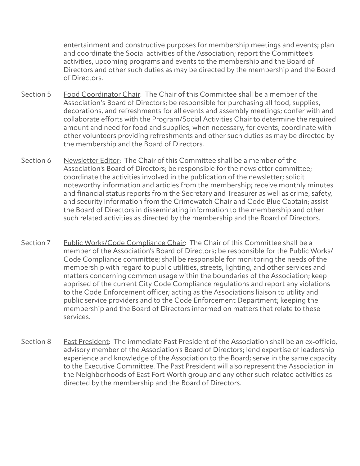entertainment and constructive purposes for membership meetings and events; plan and coordinate the Social activities of the Association; report the Committee's activities, upcoming programs and events to the membership and the Board of Directors and other such duties as may be directed by the membership and the Board of Directors.

- Section 5 Food Coordinator Chair: The Chair of this Committee shall be a member of the Association's Board of Directors; be responsible for purchasing all food, supplies, decorations, and refreshments for all events and assembly meetings; confer with and collaborate efforts with the Program/Social Activities Chair to determine the required amount and need for food and supplies, when necessary, for events; coordinate with other volunteers providing refreshments and other such duties as may be directed by the membership and the Board of Directors.
- Section 6 Newsletter Editor: The Chair of this Committee shall be a member of the Association's Board of Directors; be responsible for the newsletter committee; coordinate the activities involved in the publication of the newsletter; solicit noteworthy information and articles from the membership; receive monthly minutes and financial status reports from the Secretary and Treasurer as well as crime, safety, and security information from the Crimewatch Chair and Code Blue Captain; assist the Board of Directors in disseminating information to the membership and other such related activities as directed by the membership and the Board of Directors.
- Section 7 Public Works/Code Compliance Chair: The Chair of this Committee shall be a member of the Association's Board of Directors; be responsible for the Public Works/ Code Compliance committee; shall be responsible for monitoring the needs of the membership with regard to public utilities, streets, lighting, and other services and matters concerning common usage within the boundaries of the Association; keep apprised of the current City Code Compliance regulations and report any violations to the Code Enforcement officer; acting as the Associations liaison to utility and public service providers and to the Code Enforcement Department; keeping the membership and the Board of Directors informed on matters that relate to these services.
- Section 8 Past President: The immediate Past President of the Association shall be an ex-officio, advisory member of the Association's Board of Directors; lend expertise of leadership experience and knowledge of the Association to the Board; serve in the same capacity to the Executive Committee. The Past President will also represent the Association in the Neighborhoods of East Fort Worth group and any other such related activities as directed by the membership and the Board of Directors.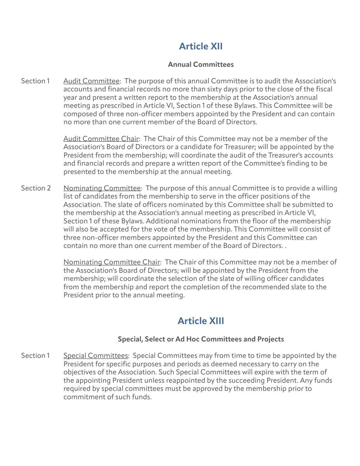# **Article XII**

#### **Annual Committees**

Section 1 Audit Committee: The purpose of this annual Committee is to audit the Association's accounts and financial records no more than sixty days prior to the close of the fiscal year and present a written report to the membership at the Association's annual meeting as prescribed in Article VI, Section 1 of these Bylaws. This Committee will be composed of three non-officer members appointed by the President and can contain no more than one current member of the Board of Directors.

> Audit Committee Chair: The Chair of this Committee may not be a member of the Association's Board of Directors or a candidate for Treasurer; will be appointed by the President from the membership; will coordinate the audit of the Treasurer's accounts and financial records and prepare a written report of the Committee's finding to be presented to the membership at the annual meeting.

Section 2 Nominating Committee: The purpose of this annual Committee is to provide a willing list of candidates from the membership to serve in the officer positions of the Association. The slate of officers nominated by this Committee shall be submitted to the membership at the Association's annual meeting as prescribed in Article VI, Section 1 of these Bylaws. Additional nominations from the floor of the membership will also be accepted for the vote of the membership. This Committee will consist of three non-officer members appointed by the President and this Committee can contain no more than one current member of the Board of Directors. .

> Nominating Committee Chair: The Chair of this Committee may not be a member of the Association's Board of Directors; will be appointed by the President from the membership; will coordinate the selection of the slate of willing officer candidates from the membership and report the completion of the recommended slate to the President prior to the annual meeting.

### **Article XIII**

#### **Special, Select or Ad Hoc Committees and Projects**

Section 1 Special Committees: Special Committees may from time to time be appointed by the President for specific purposes and periods as deemed necessary to carry on the objectives of the Association. Such Special Committees will expire with the term of the appointing President unless reappointed by the succeeding President. Any funds required by special committees must be approved by the membership prior to commitment of such funds.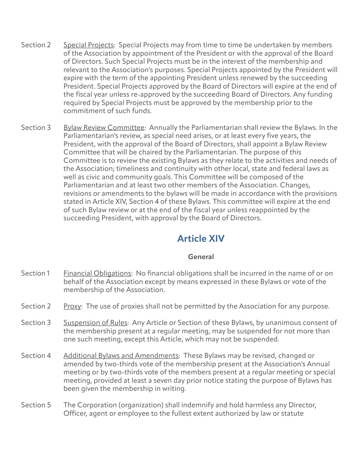- Section 2 Special Projects: Special Projects may from time to time be undertaken by members of the Association by appointment of the President or with the approval of the Board of Directors. Such Special Projects must be in the interest of the membership and relevant to the Association's purposes. Special Projects appointed by the President will expire with the term of the appointing President unless renewed by the succeeding President. Special Projects approved by the Board of Directors will expire at the end of the fiscal year unless re-approved by the succeeding Board of Directors. Any funding required by Special Projects must be approved by the membership prior to the commitment of such funds.
- Section 3 Bylaw Review Committee: Annually the Parliamentarian shall review the Bylaws. In the Parliamentarian's review, as special need arises, or at least every five years, the President, with the approval of the Board of Directors, shall appoint a Bylaw Review Committee that will be chaired by the Parliamentarian. The purpose of this Committee is to review the existing Bylaws as they relate to the activities and needs of the Association; timeliness and continuity with other local, state and federal laws as well as civic and community goals. This Committee will be composed of the Parliamentarian and at least two other members of the Association. Changes, revisions or amendments to the bylaws will be made in accordance with the provisions stated in Article XIV, Section 4 of these Bylaws. This committee will expire at the end of such Bylaw review or at the end of the fiscal year unless reappointed by the succeeding President, with approval by the Board of Directors.

### **Article XIV**

#### **General**

- Section 1 Financial Obligations: No financial obligations shall be incurred in the name of or on behalf of the Association except by means expressed in these Bylaws or vote of the membership of the Association.
- Section 2 Proxy: The use of proxies shall not be permitted by the Association for any purpose.
- Section 3 Suspension of Rules: Any Article or Section of these Bylaws, by unanimous consent of the membership present at a regular meeting, may be suspended for not more than one such meeting, except this Article, which may not be suspended.
- Section 4 Additional Bylaws and Amendments: These Bylaws may be revised, changed or amended by two-thirds vote of the membership present at the Association's Annual meeting or by two-thirds vote of the members present at a regular meeting or special meeting, provided at least a seven day prior notice stating the purpose of Bylaws has been given the membership in writing.
- Section 5 The Corporation (organization) shall indemnify and hold harmless any Director, Officer, agent or employee to the fullest extent authorized by law or statute